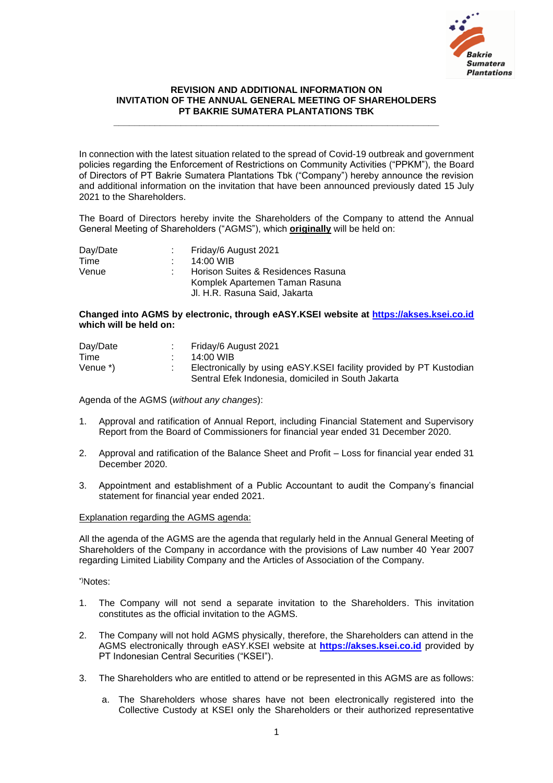

## **REVISION AND ADDITIONAL INFORMATION ON INVITATION OF THE ANNUAL GENERAL MEETING OF SHAREHOLDERS PT BAKRIE SUMATERA PLANTATIONS TBK**

**\_\_\_\_\_\_\_\_\_\_\_\_\_\_\_\_\_\_\_\_\_\_\_\_\_\_\_\_\_\_\_\_\_\_\_\_\_\_\_\_\_\_\_\_\_\_\_\_\_\_\_\_\_\_\_\_\_\_\_\_\_\_\_**

In connection with the latest situation related to the spread of Covid-19 outbreak and government policies regarding the Enforcement of Restrictions on Community Activities ("PPKM"), the Board of Directors of PT Bakrie Sumatera Plantations Tbk ("Company") hereby announce the revision and additional information on the invitation that have been announced previously dated 15 July 2021 to the Shareholders.

The Board of Directors hereby invite the Shareholders of the Company to attend the Annual General Meeting of Shareholders ("AGMS"), which **originally** will be held on:

| Day/Date | Friday/6 August 2021               |
|----------|------------------------------------|
| Time     | 14:00 WIB                          |
| Venue    | Horison Suites & Residences Rasuna |
|          | Komplek Apartemen Taman Rasuna     |
|          | Jl. H.R. Rasuna Said, Jakarta      |

## **Changed into AGMS by electronic, through eASY.KSEI website at [https://akses.ksei.co.id](https://akses.ksei.co.id/) which will be held on:**

| Day/Date | Friday/6 August 2021                                                 |
|----------|----------------------------------------------------------------------|
| Time     | 14:00 WIB                                                            |
| Venue *) | Electronically by using eASY. KSEI facility provided by PT Kustodian |
|          | Sentral Efek Indonesia, domiciled in South Jakarta                   |

Agenda of the AGMS (*without any changes*):

- 1. Approval and ratification of Annual Report, including Financial Statement and Supervisory Report from the Board of Commissioners for financial year ended 31 December 2020.
- 2. Approval and ratification of the Balance Sheet and Profit Loss for financial year ended 31 December 2020.
- 3. Appointment and establishment of a Public Accountant to audit the Company's financial statement for financial year ended 2021.

## Explanation regarding the AGMS agenda:

All the agenda of the AGMS are the agenda that regularly held in the Annual General Meeting of Shareholders of the Company in accordance with the provisions of Law number 40 Year 2007 regarding Limited Liability Company and the Articles of Association of the Company.

\*)Notes:

- 1. The Company will not send a separate invitation to the Shareholders. This invitation constitutes as the official invitation to the AGMS.
- 2. The Company will not hold AGMS physically, therefore, the Shareholders can attend in the AGMS electronically through eASY.KSEI website at **[https://akses.ksei.co.id](https://akses.ksei.co.id/)** provided by PT Indonesian Central Securities ("KSEI").
- 3. The Shareholders who are entitled to attend or be represented in this AGMS are as follows:
	- a. The Shareholders whose shares have not been electronically registered into the Collective Custody at KSEI only the Shareholders or their authorized representative